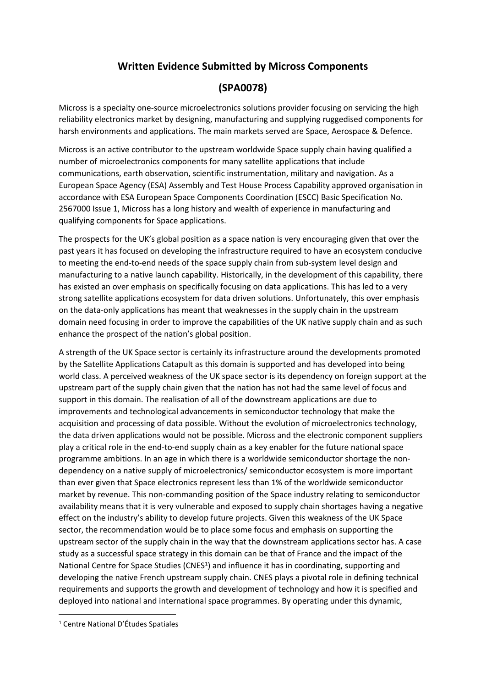## **Written Evidence Submitted by Micross Components**

## **(SPA0078)**

Micross is a specialty one-source microelectronics solutions provider focusing on servicing the high reliability electronics market by designing, manufacturing and supplying ruggedised components for harsh environments and applications. The main markets served are Space, Aerospace & Defence.

Micross is an active contributor to the upstream worldwide Space supply chain having qualified a number of microelectronics components for many satellite applications that include communications, earth observation, scientific instrumentation, military and navigation. As a European Space Agency (ESA) Assembly and Test House Process Capability approved organisation in accordance with ESA European Space Components Coordination (ESCC) Basic Specification No. 2567000 Issue 1, Micross has a long history and wealth of experience in manufacturing and qualifying components for Space applications.

The prospects for the UK's global position as a space nation is very encouraging given that over the past years it has focused on developing the infrastructure required to have an ecosystem conducive to meeting the end-to-end needs of the space supply chain from sub-system level design and manufacturing to a native launch capability. Historically, in the development of this capability, there has existed an over emphasis on specifically focusing on data applications. This has led to a very strong satellite applications ecosystem for data driven solutions. Unfortunately, this over emphasis on the data-only applications has meant that weaknesses in the supply chain in the upstream domain need focusing in order to improve the capabilities of the UK native supply chain and as such enhance the prospect of the nation's global position.

A strength of the UK Space sector is certainly its infrastructure around the developments promoted by the Satellite Applications Catapult as this domain is supported and has developed into being world class. A perceived weakness of the UK space sector is its dependency on foreign support at the upstream part of the supply chain given that the nation has not had the same level of focus and support in this domain. The realisation of all of the downstream applications are due to improvements and technological advancements in semiconductor technology that make the acquisition and processing of data possible. Without the evolution of microelectronics technology, the data driven applications would not be possible. Micross and the electronic component suppliers play a critical role in the end-to-end supply chain as a key enabler for the future national space programme ambitions. In an age in which there is a worldwide semiconductor shortage the nondependency on a native supply of microelectronics/ semiconductor ecosystem is more important than ever given that Space electronics represent less than 1% of the worldwide semiconductor market by revenue. This non-commanding position of the Space industry relating to semiconductor availability means that it is very vulnerable and exposed to supply chain shortages having a negative effect on the industry's ability to develop future projects. Given this weakness of the UK Space sector, the recommendation would be to place some focus and emphasis on supporting the upstream sector of the supply chain in the way that the downstream applications sector has. A case study as a successful space strategy in this domain can be that of France and the impact of the National Centre for Space Studies (CNES<sup>1</sup>) and influence it has in coordinating, supporting and developing the native French upstream supply chain. CNES plays a pivotal role in defining technical requirements and supports the growth and development of technology and how it is specified and deployed into national and international space programmes. By operating under this dynamic,

<sup>1</sup> Centre National D'Études Spatiales